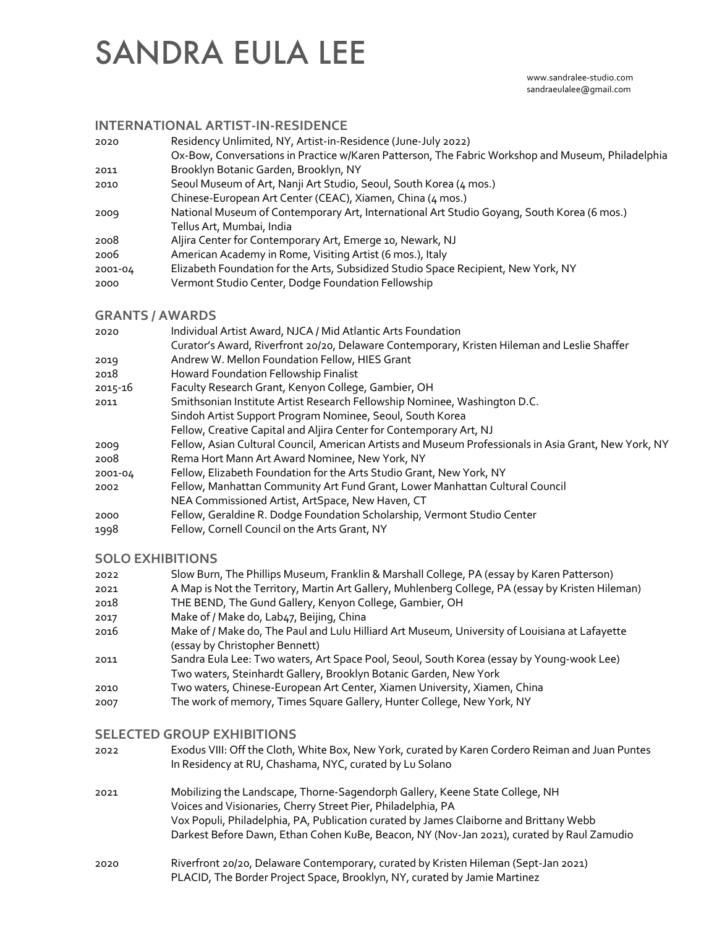# SANDRA EULA LEE

#### www.sandralee-studio.com sandraeulalee@gmail.com

#### **INTERNATIONAL ARTIST-IN-RESIDENCE**

| 2020    | Residency Unlimited, NY, Artist-in-Residence (June-July 2022)                                     |
|---------|---------------------------------------------------------------------------------------------------|
|         | Ox-Bow, Conversations in Practice w/Karen Patterson, The Fabric Workshop and Museum, Philadelphia |
| 2011    | Brooklyn Botanic Garden, Brooklyn, NY                                                             |
| 2010    | Seoul Museum of Art, Nanji Art Studio, Seoul, South Korea (4 mos.)                                |
|         | Chinese-European Art Center (CEAC), Xiamen, China (4 mos.)                                        |
| 2009    | National Museum of Contemporary Art, International Art Studio Goyang, South Korea (6 mos.)        |
|         | Tellus Art, Mumbai, India                                                                         |
| 2008    | Aljira Center for Contemporary Art, Emerge 10, Newark, NJ                                         |
| 2006    | American Academy in Rome, Visiting Artist (6 mos.), Italy                                         |
| 2001-04 | Elizabeth Foundation for the Arts, Subsidized Studio Space Recipient, New York, NY                |
| 2000    | Vermont Studio Center, Dodge Foundation Fellowship                                                |
|         |                                                                                                   |

#### **GRANTS / AWARDS**

| 2020    | Individual Artist Award, NJCA / Mid Atlantic Arts Foundation                                          |
|---------|-------------------------------------------------------------------------------------------------------|
|         | Curator's Award, Riverfront 20/20, Delaware Contemporary, Kristen Hileman and Leslie Shaffer          |
| 2019    | Andrew W. Mellon Foundation Fellow, HIES Grant                                                        |
| 2018    | Howard Foundation Fellowship Finalist                                                                 |
| 2015-16 | Faculty Research Grant, Kenyon College, Gambier, OH                                                   |
| 2011    | Smithsonian Institute Artist Research Fellowship Nominee, Washington D.C.                             |
|         | Sindoh Artist Support Program Nominee, Seoul, South Korea                                             |
|         | Fellow, Creative Capital and Aljira Center for Contemporary Art, NJ                                   |
| 2009    | Fellow, Asian Cultural Council, American Artists and Museum Professionals in Asia Grant, New York, NY |
| 2008    | Rema Hort Mann Art Award Nominee, New York, NY                                                        |
| 2001-04 | Fellow, Elizabeth Foundation for the Arts Studio Grant, New York, NY                                  |
| 2002    | Fellow, Manhattan Community Art Fund Grant, Lower Manhattan Cultural Council                          |
|         | NEA Commissioned Artist, ArtSpace, New Haven, CT                                                      |
| 2000    | Fellow, Geraldine R. Dodge Foundation Scholarship, Vermont Studio Center                              |
| 1998    | Fellow, Cornell Council on the Arts Grant, NY                                                         |
|         |                                                                                                       |

#### **SOLO EXHIBITIONS**

| 2022 | Slow Burn, The Phillips Museum, Franklin & Marshall College, PA (essay by Karen Patterson)        |
|------|---------------------------------------------------------------------------------------------------|
| 2021 | A Map is Not the Territory, Martin Art Gallery, Muhlenberg College, PA (essay by Kristen Hileman) |
| 2018 | THE BEND, The Gund Gallery, Kenyon College, Gambier, OH                                           |
| 2017 | Make of / Make do, Lab47, Beijing, China                                                          |
| 2016 | Make of / Make do, The Paul and Lulu Hilliard Art Museum, University of Louisiana at Lafayette    |
|      | (essay by Christopher Bennett)                                                                    |
| 2011 | Sandra Eula Lee: Two waters, Art Space Pool, Seoul, South Korea (essay by Young-wook Lee)         |
|      | Two waters, Steinhardt Gallery, Brooklyn Botanic Garden, New York                                 |
|      |                                                                                                   |

- 2010 Two waters, Chinese-European Art Center, Xiamen University, Xiamen, China
- 2007 The work of memory, Times Square Gallery, Hunter College, New York, NY

### **SELECTED GROUP EXHIBITIONS**

| 2022 | Exodus VIII: Off the Cloth, White Box, New York, curated by Karen Cordero Reiman and Juan Puntes<br>In Residency at RU, Chashama, NYC, curated by Lu Solano |
|------|-------------------------------------------------------------------------------------------------------------------------------------------------------------|
| 2021 | Mobilizing the Landscape, Thorne-Sagendorph Gallery, Keene State College, NH                                                                                |
|      | Voices and Visionaries, Cherry Street Pier, Philadelphia, PA                                                                                                |
|      | Vox Populi, Philadelphia, PA, Publication curated by James Claiborne and Brittany Webb                                                                      |
|      | Darkest Before Dawn, Ethan Cohen KuBe, Beacon, NY (Nov-Jan 2021), curated by Raul Zamudio                                                                   |
| 2020 | Riverfront 20/20, Delaware Contemporary, curated by Kristen Hileman (Sept-Jan 2021)                                                                         |
|      | PLACID, The Border Project Space, Brooklyn, NY, curated by Jamie Martinez                                                                                   |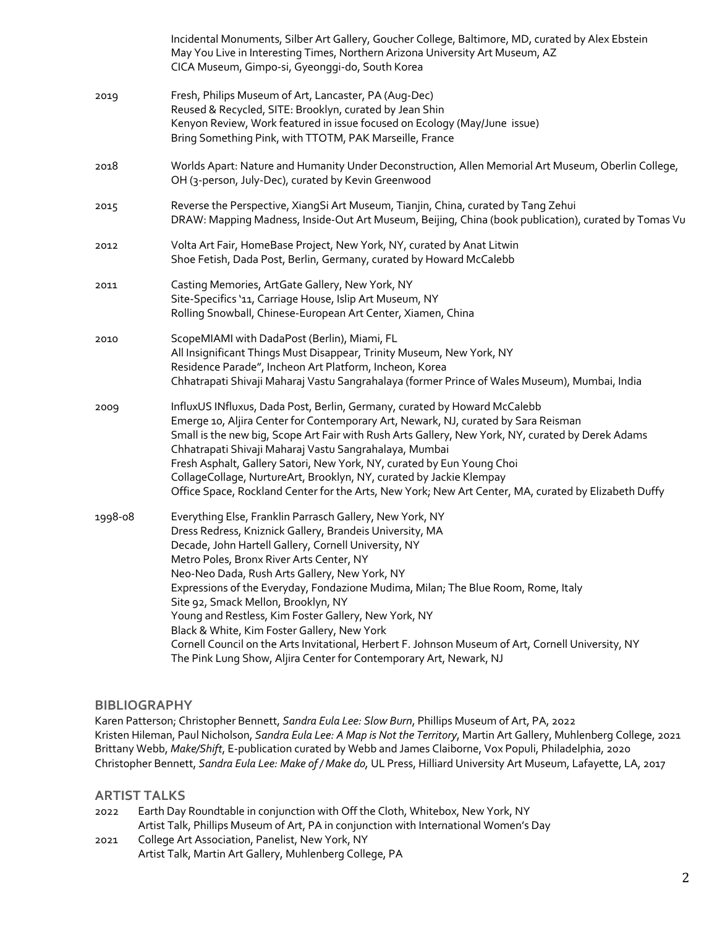|         | Incidental Monuments, Silber Art Gallery, Goucher College, Baltimore, MD, curated by Alex Ebstein<br>May You Live in Interesting Times, Northern Arizona University Art Museum, AZ<br>CICA Museum, Gimpo-si, Gyeonggi-do, South Korea                                                                                                                                                                                                                                                                                                                                                                                                                                                    |
|---------|------------------------------------------------------------------------------------------------------------------------------------------------------------------------------------------------------------------------------------------------------------------------------------------------------------------------------------------------------------------------------------------------------------------------------------------------------------------------------------------------------------------------------------------------------------------------------------------------------------------------------------------------------------------------------------------|
| 2019    | Fresh, Philips Museum of Art, Lancaster, PA (Aug-Dec)<br>Reused & Recycled, SITE: Brooklyn, curated by Jean Shin<br>Kenyon Review, Work featured in issue focused on Ecology (May/June issue)<br>Bring Something Pink, with TTOTM, PAK Marseille, France                                                                                                                                                                                                                                                                                                                                                                                                                                 |
| 2018    | Worlds Apart: Nature and Humanity Under Deconstruction, Allen Memorial Art Museum, Oberlin College,<br>OH (3-person, July-Dec), curated by Kevin Greenwood                                                                                                                                                                                                                                                                                                                                                                                                                                                                                                                               |
| 2015    | Reverse the Perspective, XiangSi Art Museum, Tianjin, China, curated by Tang Zehui<br>DRAW: Mapping Madness, Inside-Out Art Museum, Beijing, China (book publication), curated by Tomas Vu                                                                                                                                                                                                                                                                                                                                                                                                                                                                                               |
| 2012    | Volta Art Fair, HomeBase Project, New York, NY, curated by Anat Litwin<br>Shoe Fetish, Dada Post, Berlin, Germany, curated by Howard McCalebb                                                                                                                                                                                                                                                                                                                                                                                                                                                                                                                                            |
| 2011    | Casting Memories, ArtGate Gallery, New York, NY<br>Site-Specifics '11, Carriage House, Islip Art Museum, NY<br>Rolling Snowball, Chinese-European Art Center, Xiamen, China                                                                                                                                                                                                                                                                                                                                                                                                                                                                                                              |
| 2010    | ScopeMIAMI with DadaPost (Berlin), Miami, FL<br>All Insignificant Things Must Disappear, Trinity Museum, New York, NY<br>Residence Parade", Incheon Art Platform, Incheon, Korea<br>Chhatrapati Shivaji Maharaj Vastu Sangrahalaya (former Prince of Wales Museum), Mumbai, India                                                                                                                                                                                                                                                                                                                                                                                                        |
| 2009    | InfluxUS INfluxus, Dada Post, Berlin, Germany, curated by Howard McCalebb<br>Emerge 10, Aljira Center for Contemporary Art, Newark, NJ, curated by Sara Reisman<br>Small is the new big, Scope Art Fair with Rush Arts Gallery, New York, NY, curated by Derek Adams<br>Chhatrapati Shivaji Maharaj Vastu Sangrahalaya, Mumbai<br>Fresh Asphalt, Gallery Satori, New York, NY, curated by Eun Young Choi<br>CollageCollage, NurtureArt, Brooklyn, NY, curated by Jackie Klempay<br>Office Space, Rockland Center for the Arts, New York; New Art Center, MA, curated by Elizabeth Duffy                                                                                                  |
| 1998-08 | Everything Else, Franklin Parrasch Gallery, New York, NY<br>Dress Redress, Kniznick Gallery, Brandeis University, MA<br>Decade, John Hartell Gallery, Cornell University, NY<br>Metro Poles, Bronx River Arts Center, NY<br>Neo-Neo Dada, Rush Arts Gallery, New York, NY<br>Expressions of the Everyday, Fondazione Mudima, Milan; The Blue Room, Rome, Italy<br>Site 92, Smack Mellon, Brooklyn, NY<br>Young and Restless, Kim Foster Gallery, New York, NY<br>Black & White, Kim Foster Gallery, New York<br>Cornell Council on the Arts Invitational, Herbert F. Johnson Museum of Art, Cornell University, NY<br>The Pink Lung Show, Aljira Center for Contemporary Art, Newark, NJ |

#### **BIBLIOGRAPHY**

Karen Patterson; Christopher Bennett, *Sandra Eula Lee: Slow Burn*, Phillips Museum of Art, PA, 2022 Kristen Hileman, Paul Nicholson, *Sandra Eula Lee: A Map is Not the Territory*, Martin Art Gallery, Muhlenberg College, 2021 Brittany Webb, *Make/Shift*, E-publication curated by Webb and James Claiborne, Vox Populi, Philadelphia, 2020 Christopher Bennett, *Sandra Eula Lee: Make of / Make do,* UL Press, Hilliard University Art Museum, Lafayette, LA, 2017

### **ARTIST TALKS**

| 2022 | Earth Day Roundtable in conjunction with Off the Cloth, Whitebox, New York, NY        |
|------|---------------------------------------------------------------------------------------|
|      | Artist Talk, Phillips Museum of Art, PA in conjunction with International Women's Day |
| 2021 | College Art Association, Panelist, New York, NY                                       |
|      | Artist Talk, Martin Art Gallery, Muhlenberg College, PA                               |